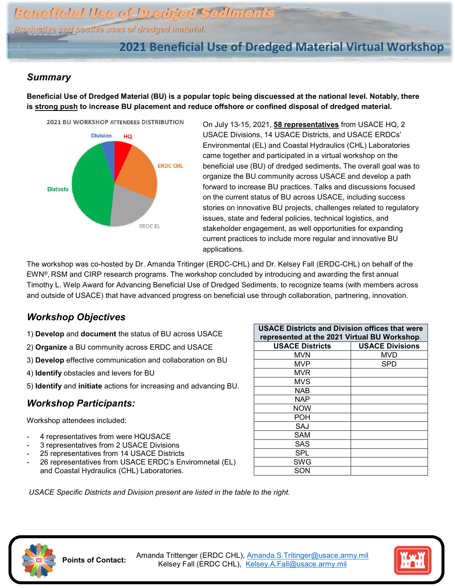Beneficial Use of Dredged Sediments *Productive and postive uses of dredged material.*

# **2021 Beneficial Use of Dredged Material Virtual Workshop**

### *Summary*

**Beneficial Use of Dredged Material (BU) is a popular topic being discuessed at the national level. Notably, there is strong push to increase BU placement and reduce offshore or confined disposal of dredged material.**



On July 13-15, 2021, **58 representatives** from USACE HQ, 2 USACE Divisions, 14 USACE Districts, and USACE ERDCs' Environmental (EL) and Coastal Hydraulics (CHL) Laboratories came together and participated in a virtual workshop on the beneficial use (BU) of dredged sediments**.** The overall goal was to organize the BU community across USACE and develop a path forward to increase BU practices. Talks and discussions focused on the current status of BU across USACE, including success stories on innovative BU projects, challenges related to regulatory issues, state and federal policies, technical logistics, and stakeholder engagement, as well opportunities for expanding current practices to include more regular and innovative BU applications.

The workshop was co-hosted by Dr. Amanda Tritinger (ERDC-CHL) and Dr. Kelsey Fall (ERDC-CHL) on behalf of the EWN®, RSM and CIRP research programs. The workshop concluded by introducing and awarding the first annual Timothy L. Welp Award for Advancing Beneficial Use of Dredged Sediments, to recognize teams (with members across and outside of USACE) that have advanced progress on beneficial use through collaboration, partnering, innovation.

## *Workshop Objectives*

- 1) **Develop** and **document** the status of BU across USACE
- 2) **Organize** a BU community across ERDC and USACE
- 3) **Develop** effective communication and collaboration on BU
- 4) **Identify** obstacles and levers for BU
- 5) **Identify** and **initiate** actions for increasing and advancing BU.

## *Workshop Participants:*

Workshop attendees included:

- 4 representatives from were HQUSACE
- 3 representatives from 2 USACE Divisions
- 25 representatives from 14 USACE Districts
- 26 representatives from USACE ERDC's Enviromnetal (EL) and Coastal Hydraulics (CHL) Laboratories.

| <b>USACE Districts and Division offices that were</b><br>represented at the 2021 Virtual BU Workshop. |                        |
|-------------------------------------------------------------------------------------------------------|------------------------|
| <b>USACE Districts</b>                                                                                | <b>USACE Divisions</b> |
| <b>MVN</b>                                                                                            | MVD                    |
| MVP                                                                                                   | SPD                    |
| <b>MVR</b>                                                                                            |                        |
| <b>MVS</b>                                                                                            |                        |
| <b>NAB</b>                                                                                            |                        |
| NAP                                                                                                   |                        |
| <b>NOW</b>                                                                                            |                        |
| POH                                                                                                   |                        |
| SAJ                                                                                                   |                        |
| SAM                                                                                                   |                        |
| SAS                                                                                                   |                        |
| SPL                                                                                                   |                        |
| SWG                                                                                                   |                        |
| SON                                                                                                   |                        |

*USACE Specific Districts and Division present are listed in the table to the right.*